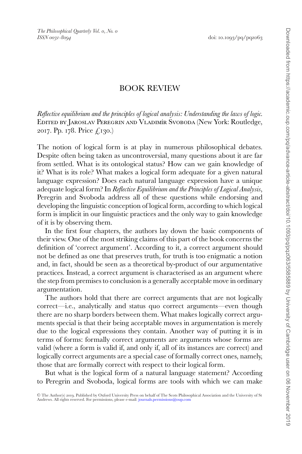*Reflective equilibrium and the principles of logical analysis: Understanding the laws of logic.* Edited by Jaroslav Peregrin and Vladim´ır Svoboda (New York: Routledge, 2017. Pp. 178. Price £130.)

The notion of logical form is at play in numerous philosophical debates. Despite often being taken as uncontroversial, many questions about it are far from settled. What is its ontological status? How can we gain knowledge of it? What is its role? What makes a logical form adequate for a given natural language expression? Does each natural language expression have a unique adequate logical form? In *Reflective Equilibrium and the Principles of Logical Analysis*, Peregrin and Svoboda address all of these questions while endorsing and developing the linguistic conception of logical form, according to which logical form is implicit in our linguistic practices and the only way to gain knowledge of it is by observing them.

In the first four chapters, the authors lay down the basic components of their view. One of the most striking claims of this part of the book concerns the definition of 'correct argument'. According to it, a correct argument should not be defined as one that preserves truth, for truth is too enigmatic a notion and, in fact, should be seen as a theoretical by-product of our argumentative practices. Instead, a correct argument is characterised as an argument where the step from premises to conclusion is a generally acceptable move in ordinary argumentation.

The authors hold that there are correct arguments that are not logically correct—i.e., analytically and status quo correct arguments—even though there are no sharp borders between them. What makes logically correct arguments special is that their being acceptable moves in argumentation is merely due to the logical expressions they contain. Another way of putting it is in terms of forms: formally correct arguments are arguments whose forms are valid (where a form is valid if, and only if, all of its instances are correct) and logically correct arguments are a special case of formally correct ones, namely, those that are formally correct with respect to their logical form.

But what is the logical form of a natural language statement? According to Peregrin and Svoboda, logical forms are tools with which we can make

<sup>©</sup> The Author(s) 2019. Published by Oxford University Press on behalf of The Scots Philosophical Association and the University of St<br>Andrews. All rights reserved. For permissions, please e-mail: journals.permissions@oup.co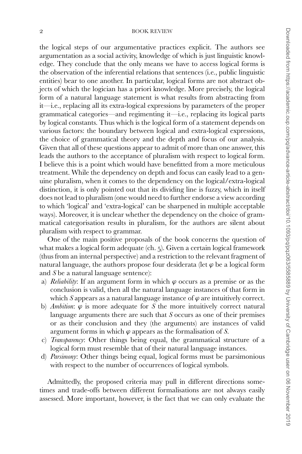the logical steps of our argumentative practices explicit. The authors see argumentation as a social activity, knowledge of which is just linguistic knowledge. They conclude that the only means we have to access logical forms is the observation of the inferential relations that sentences (i.e., public linguistic entities) bear to one another. In particular, logical forms are not abstract objects of which the logician has a priori knowledge. More precisely, the logical form of a natural language statement is what results from abstracting from it—i.e., replacing all its extra-logical expressions by parameters of the proper grammatical categories—and regimenting it—i.e., replacing its logical parts by logical constants. Thus which is the logical form of a statement depends on various factors: the boundary between logical and extra-logical expressions, the choice of grammatical theory and the depth and focus of our analysis. Given that all of these questions appear to admit of more than one answer, this leads the authors to the acceptance of pluralism with respect to logical form. I believe this is a point which would have benefitted from a more meticulous treatment. While the dependency on depth and focus can easily lead to a genuine pluralism, when it comes to the dependency on the logical/extra-logical distinction, it is only pointed out that its dividing line is fuzzy, which in itself does not lead to pluralism (one would need to further endorse a view according to which 'logical' and 'extra-logical' can be sharpened in multiple acceptable ways). Moreover, it is unclear whether the dependency on the choice of grammatical categorisation results in pluralism, for the authors are silent about pluralism with respect to grammar.

One of the main positive proposals of the book concerns the question of what makes a logical form adequate (ch. 5). Given a certain logical framework (thus from an internal perspective) and a restriction to the relevant fragment of natural language, the authors propose four desiderata (let  $\varphi$  be a logical form and *S* be a natural language sentence):

- a) *Reliability*: If an argument form in which  $\varphi$  occurs as a premise or as the conclusion is valid, then all the natural language instances of that form in which *S* appears as a natural language instance of  $\varphi$  are intuitively correct.
- b) *Ambition*:  $\varphi$  is more adequate for *S* the more intuitively correct natural language arguments there are such that *S* occurs as one of their premises or as their conclusion and they (the arguments) are instances of valid argument forms in which  $\varphi$  appears as the formalisation of *S*.
- c) *Transparency*: Other things being equal, the grammatical structure of a logical form must resemble that of their natural language instances.
- d) *Parsimony*: Other things being equal, logical forms must be parsimonious with respect to the number of occurrences of logical symbols.

Admittedly, the proposed criteria may pull in different directions sometimes and trade-offs between different formalisations are not always easily assessed. More important, however, is the fact that we can only evaluate the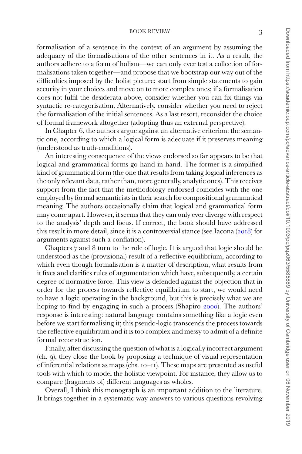formalisation of a sentence in the context of an argument by assuming the adequacy of the formalisations of the other sentences in it. As a result, the authors adhere to a form of holism—we can only ever test a collection of formalisations taken together—and propose that we bootstrap our way out of the difficulties imposed by the holist picture: start from simple statements to gain security in your choices and move on to more complex ones; if a formalisation does not fulfil the desiderata above, consider whether you can fix things via syntactic re-categorisation. Alternatively, consider whether you need to reject the formalisation of the initial sentences. As a last resort, reconsider the choice of formal framework altogether (adopting thus an external perspective).

In Chapter 6, the authors argue against an alternative criterion: the semantic one, according to which a logical form is adequate if it preserves meaning (understood as truth-conditions).

An interesting consequence of the views endorsed so far appears to be that logical and grammatical forms go hand in hand. The former is a simplified kind of grammatical form (the one that results from taking logical inferences as the only relevant data, rather than, more generally, analytic ones). This receives support from the fact that the methodology endorsed coincides with the one employed by formal semanticists in their search for compositional grammatical meaning. The authors occasionally claim that logical and grammatical form may come apart. However, it seems that they can only ever diverge with respect to the analysis' depth and focus. If correct, the book should have addressed this result in more detail, since it is a controversial stance (see Iacona  $(2018)$  $(2018)$  $(2018)$  for arguments against such a conflation).

Chapters 7 and 8 turn to the role of logic. It is argued that logic should be understood as the (provisional) result of a reflective equilibrium, according to which even though formalisation is a matter of description, what results from it fixes and clarifies rules of argumentation which have, subsequently, a certain degree of normative force. This view is defended against the objection that in order for the process towards reflective equilibrium to start, we would need to have a logic operating in the background, but this is precisely what we are hoping to find by engaging in such a process (Shapiro [2000](#page-3-1)). The authors' response is interesting: natural language contains something like a logic even before we start formalising it; this pseudo-logic transcends the process towards the reflective equilibrium and it is too complex and messy to admit of a definite formal reconstruction.

Finally, after discussing the question of what is a logically incorrect argument (ch. 9), they close the book by proposing a technique of visual representation of inferential relations as maps (chs. 10–11). These maps are presented as useful tools with which to model the holistic viewpoint. For instance, they allow us to compare (fragments of) different languages as wholes.

Overall, I think this monograph is an important addition to the literature. It brings together in a systematic way answers to various questions revolving